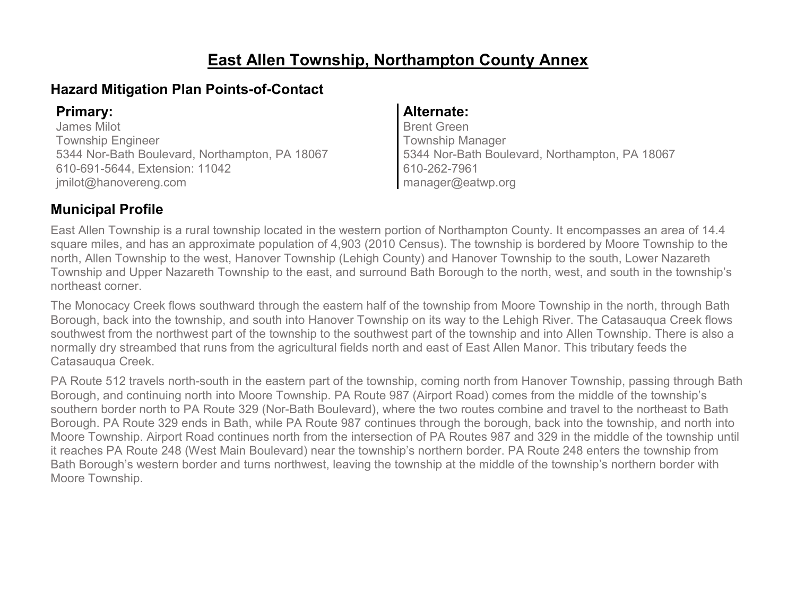### **East Allen Township, Northampton County Annex**

### **Hazard Mitigation Plan Points-of-Contact**

James Milot Township Engineer 5344 Nor-Bath Boulevard, Northampton, PA 18067 610-691-5644, Extension: 11042 jmilot@hanovereng.com

#### **Primary: Alternate:**

Brent Green Township Manager 5344 Nor-Bath Boulevard, Northampton, PA 18067 610-262-7961 manager@eatwp.org

### **Municipal Profile**

East Allen Township is a rural township located in the western portion of Northampton County. It encompasses an area of 14.4 square miles, and has an approximate population of 4,903 (2010 Census). The township is bordered by Moore Township to the north, Allen Township to the west, Hanover Township (Lehigh County) and Hanover Township to the south, Lower Nazareth Township and Upper Nazareth Township to the east, and surround Bath Borough to the north, west, and south in the township's northeast corner.

The Monocacy Creek flows southward through the eastern half of the township from Moore Township in the north, through Bath Borough, back into the township, and south into Hanover Township on its way to the Lehigh River. The Catasauqua Creek flows southwest from the northwest part of the township to the southwest part of the township and into Allen Township. There is also a normally dry streambed that runs from the agricultural fields north and east of East Allen Manor. This tributary feeds the Catasauqua Creek.

PA Route 512 travels north-south in the eastern part of the township, coming north from Hanover Township, passing through Bath Borough, and continuing north into Moore Township. PA Route 987 (Airport Road) comes from the middle of the township's southern border north to PA Route 329 (Nor-Bath Boulevard), where the two routes combine and travel to the northeast to Bath Borough. PA Route 329 ends in Bath, while PA Route 987 continues through the borough, back into the township, and north into Moore Township. Airport Road continues north from the intersection of PA Routes 987 and 329 in the middle of the township until it reaches PA Route 248 (West Main Boulevard) near the township's northern border. PA Route 248 enters the township from Bath Borough's western border and turns northwest, leaving the township at the middle of the township's northern border with Moore Township.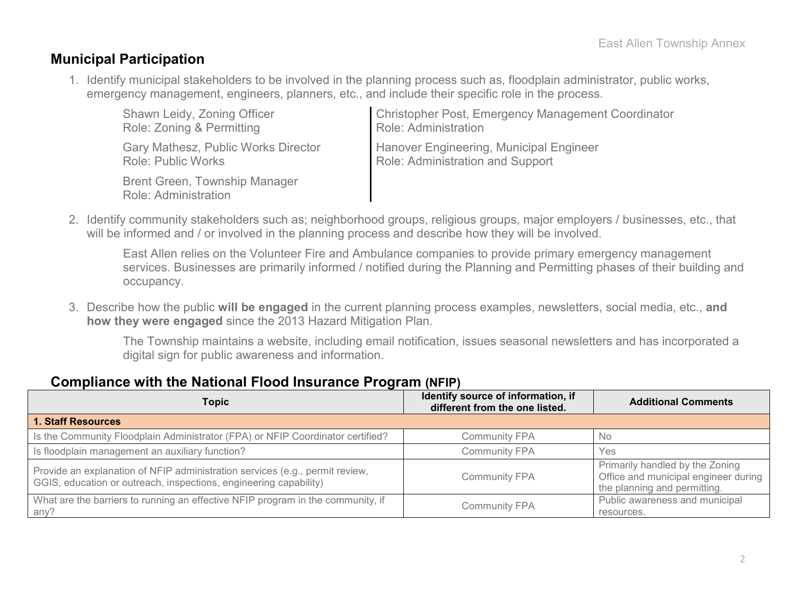### **Municipal Participation**

1. Identify municipal stakeholders to be involved in the planning process such as, floodplain administrator, public works, emergency management, engineers, planners, etc., and include their specific role in the process.

| Shawn Leidy, Zoning Officer                                         | Christopher Post, Emergency Management Coordinator |
|---------------------------------------------------------------------|----------------------------------------------------|
| Role: Zoning & Permitting                                           | Role: Administration                               |
| <b>Gary Mathesz, Public Works Director</b>                          | Hanover Engineering, Municipal Engineer            |
| <b>Role: Public Works</b>                                           | Role: Administration and Support                   |
| <b>Brent Green, Township Manager</b><br><b>Role: Administration</b> |                                                    |

2. Identify community stakeholders such as; neighborhood groups, religious groups, major employers / businesses, etc., that will be informed and / or involved in the planning process and describe how they will be involved.

East Allen relies on the Volunteer Fire and Ambulance companies to provide primary emergency management services. Businesses are primarily informed / notified during the Planning and Permitting phases of their building and occupancy.

3. Describe how the public **will be engaged** in the current planning process examples, newsletters, social media, etc., **and how they were engaged** since the 2013 Hazard Mitigation Plan.

The Township maintains a website, including email notification, issues seasonal newsletters and has incorporated a digital sign for public awareness and information.

### **Compliance with the National Flood Insurance Program (NFIP)**

| <b>Topic</b>                                                                                                                                      | Identify source of information, if<br>different from the one listed. | <b>Additional Comments</b>                                                                              |
|---------------------------------------------------------------------------------------------------------------------------------------------------|----------------------------------------------------------------------|---------------------------------------------------------------------------------------------------------|
| <b>1. Staff Resources</b>                                                                                                                         |                                                                      |                                                                                                         |
| Is the Community Floodplain Administrator (FPA) or NFIP Coordinator certified?                                                                    | <b>Community FPA</b>                                                 | <b>No</b>                                                                                               |
| Is floodplain management an auxiliary function?                                                                                                   | <b>Community FPA</b>                                                 | Yes                                                                                                     |
| Provide an explanation of NFIP administration services (e.g., permit review,<br>GGIS, education or outreach, inspections, engineering capability) | <b>Community FPA</b>                                                 | Primarily handled by the Zoning<br>Office and municipal engineer during<br>the planning and permitting. |
| What are the barriers to running an effective NFIP program in the community, if<br>any?                                                           | <b>Community FPA</b>                                                 | Public awareness and municipal<br>resources.                                                            |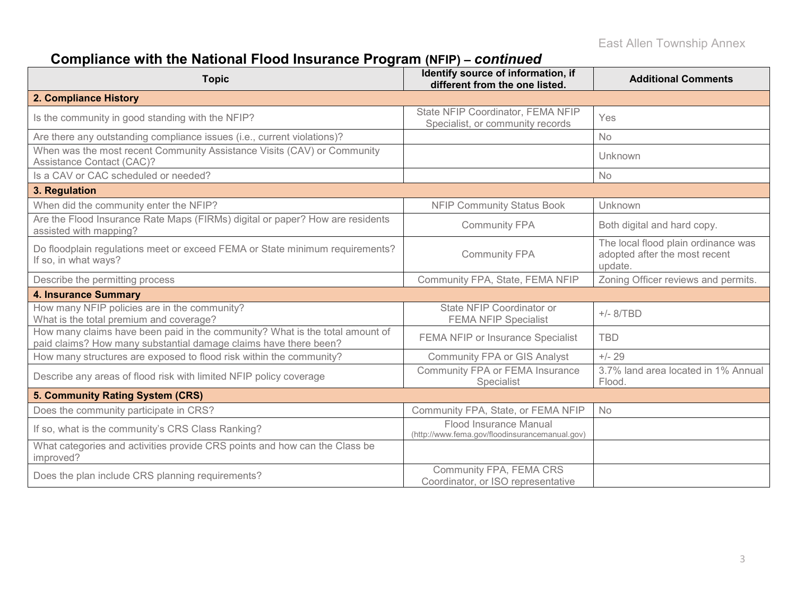# **Compliance with the National Flood Insurance Program (NFIP) –** *continued*

| <b>Topic</b>                                                                                                                                     | Identify source of information, if<br>different from the one listed.     | <b>Additional Comments</b>                                                      |
|--------------------------------------------------------------------------------------------------------------------------------------------------|--------------------------------------------------------------------------|---------------------------------------------------------------------------------|
| 2. Compliance History                                                                                                                            |                                                                          |                                                                                 |
| Is the community in good standing with the NFIP?                                                                                                 | State NFIP Coordinator, FEMA NFIP<br>Specialist, or community records    | Yes                                                                             |
| Are there any outstanding compliance issues (i.e., current violations)?                                                                          |                                                                          | No                                                                              |
| When was the most recent Community Assistance Visits (CAV) or Community<br>Assistance Contact (CAC)?                                             |                                                                          | Unknown                                                                         |
| Is a CAV or CAC scheduled or needed?                                                                                                             |                                                                          | No                                                                              |
| 3. Regulation                                                                                                                                    |                                                                          |                                                                                 |
| When did the community enter the NFIP?                                                                                                           | <b>NFIP Community Status Book</b>                                        | Unknown                                                                         |
| Are the Flood Insurance Rate Maps (FIRMs) digital or paper? How are residents<br>assisted with mapping?                                          | <b>Community FPA</b>                                                     | Both digital and hard copy.                                                     |
| Do floodplain regulations meet or exceed FEMA or State minimum requirements?<br>If so, in what ways?                                             | <b>Community FPA</b>                                                     | The local flood plain ordinance was<br>adopted after the most recent<br>update. |
| Describe the permitting process                                                                                                                  | Community FPA, State, FEMA NFIP                                          | Zoning Officer reviews and permits.                                             |
| <b>4. Insurance Summary</b>                                                                                                                      |                                                                          |                                                                                 |
| How many NFIP policies are in the community?<br>What is the total premium and coverage?                                                          | State NFIP Coordinator or<br><b>FEMA NFIP Specialist</b>                 | $+/- 8/TBD$                                                                     |
| How many claims have been paid in the community? What is the total amount of<br>paid claims? How many substantial damage claims have there been? | FEMA NFIP or Insurance Specialist                                        | <b>TBD</b>                                                                      |
| How many structures are exposed to flood risk within the community?                                                                              | <b>Community FPA or GIS Analyst</b>                                      | $+/- 29$                                                                        |
| Describe any areas of flood risk with limited NFIP policy coverage                                                                               | Community FPA or FEMA Insurance<br>Specialist                            | 3.7% land area located in 1% Annual<br>Flood.                                   |
| 5. Community Rating System (CRS)                                                                                                                 |                                                                          |                                                                                 |
| Does the community participate in CRS?                                                                                                           | Community FPA, State, or FEMA NFIP                                       | <b>No</b>                                                                       |
| If so, what is the community's CRS Class Ranking?                                                                                                | Flood Insurance Manual<br>(http://www.fema.gov/floodinsurancemanual.gov) |                                                                                 |
| What categories and activities provide CRS points and how can the Class be<br>improved?                                                          |                                                                          |                                                                                 |
| Does the plan include CRS planning requirements?                                                                                                 | Community FPA, FEMA CRS<br>Coordinator, or ISO representative            |                                                                                 |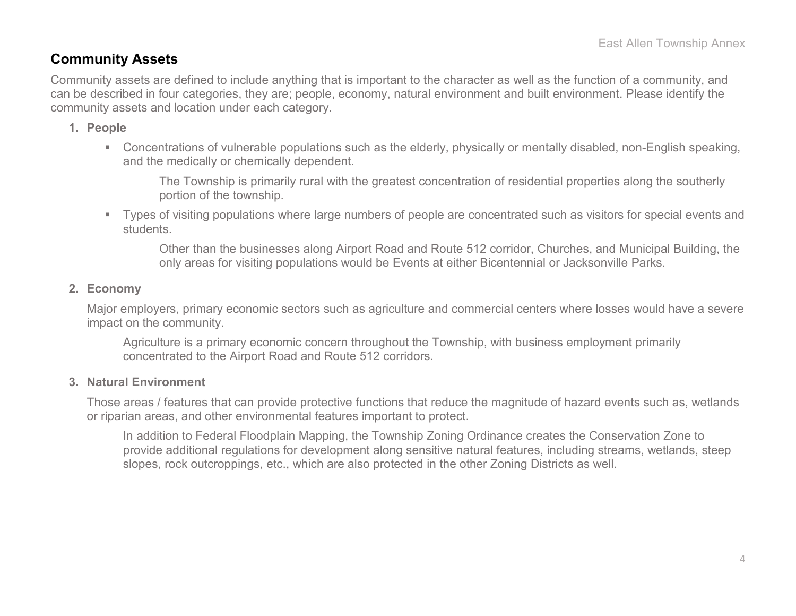### **Community Assets**

Community assets are defined to include anything that is important to the character as well as the function of a community, and can be described in four categories, they are; people, economy, natural environment and built environment. Please identify the community assets and location under each category.

#### **1. People**

 Concentrations of vulnerable populations such as the elderly, physically or mentally disabled, non-English speaking, and the medically or chemically dependent.

The Township is primarily rural with the greatest concentration of residential properties along the southerly portion of the township.

 Types of visiting populations where large numbers of people are concentrated such as visitors for special events and students.

Other than the businesses along Airport Road and Route 512 corridor, Churches, and Municipal Building, the only areas for visiting populations would be Events at either Bicentennial or Jacksonville Parks.

#### **2. Economy**

Major employers, primary economic sectors such as agriculture and commercial centers where losses would have a severe impact on the community.

Agriculture is a primary economic concern throughout the Township, with business employment primarily concentrated to the Airport Road and Route 512 corridors.

#### **3. Natural Environment**

Those areas / features that can provide protective functions that reduce the magnitude of hazard events such as, wetlands or riparian areas, and other environmental features important to protect.

In addition to Federal Floodplain Mapping, the Township Zoning Ordinance creates the Conservation Zone to provide additional regulations for development along sensitive natural features, including streams, wetlands, steep slopes, rock outcroppings, etc., which are also protected in the other Zoning Districts as well.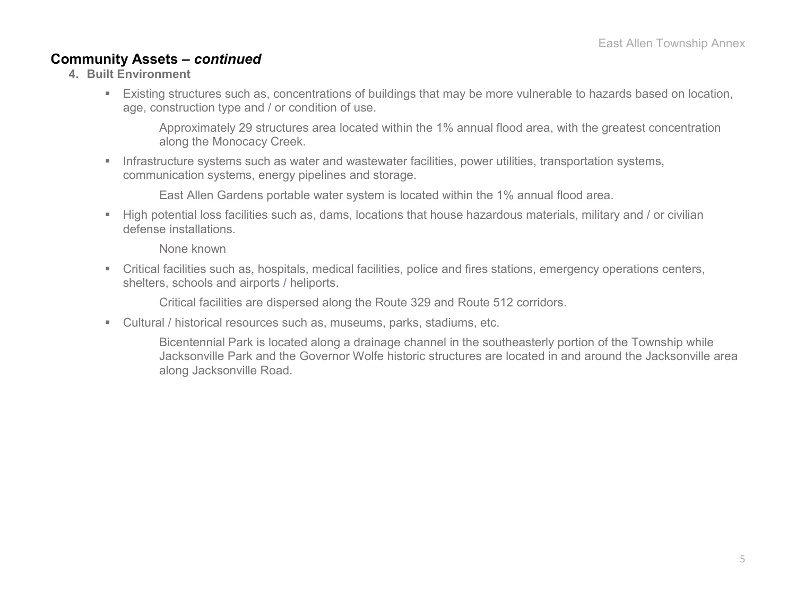### **Community Assets –** *continued*

- **4. Built Environment**
	- Existing structures such as, concentrations of buildings that may be more vulnerable to hazards based on location, age, construction type and / or condition of use.

Approximately 29 structures area located within the 1% annual flood area, with the greatest concentration along the Monocacy Creek.

 Infrastructure systems such as water and wastewater facilities, power utilities, transportation systems, communication systems, energy pipelines and storage.

East Allen Gardens portable water system is located within the 1% annual flood area.

 High potential loss facilities such as, dams, locations that house hazardous materials, military and / or civilian defense installations.

None known

 Critical facilities such as, hospitals, medical facilities, police and fires stations, emergency operations centers, shelters, schools and airports / heliports.

Critical facilities are dispersed along the Route 329 and Route 512 corridors.

Cultural / historical resources such as, museums, parks, stadiums, etc.

Bicentennial Park is located along a drainage channel in the southeasterly portion of the Township while Jacksonville Park and the Governor Wolfe historic structures are located in and around the Jacksonville area along Jacksonville Road.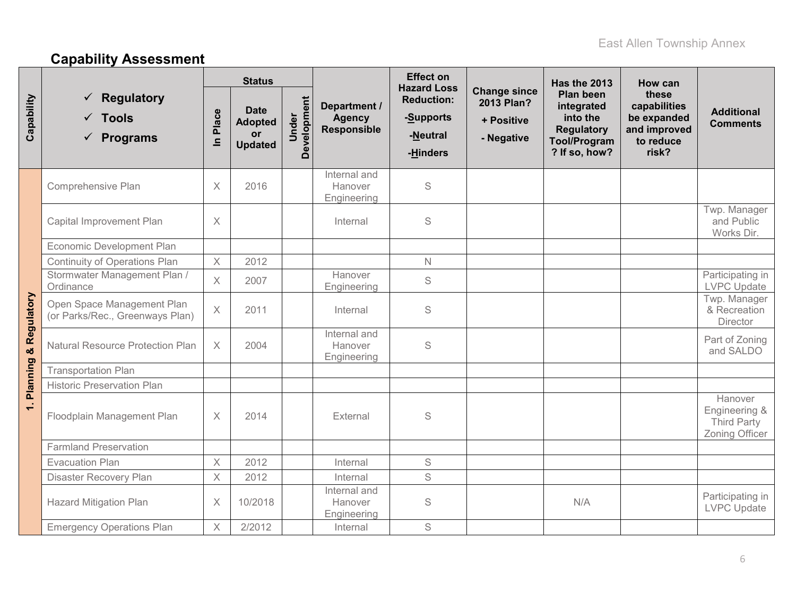# **Capability Assessment**

|                                  |                                                                  | <b>Status</b>        |                                                              |                      |                                              | <b>Effect on</b><br><b>Hazard Loss</b>                 |                                                               | Has the 2013                                                                                     | How can                                                                    |                                                           |
|----------------------------------|------------------------------------------------------------------|----------------------|--------------------------------------------------------------|----------------------|----------------------------------------------|--------------------------------------------------------|---------------------------------------------------------------|--------------------------------------------------------------------------------------------------|----------------------------------------------------------------------------|-----------------------------------------------------------|
| Capability                       | <b>Regulatory</b><br>$\checkmark$ Tools<br>$\checkmark$ Programs | Place<br>$\subseteq$ | <b>Date</b><br><b>Adopted</b><br><b>or</b><br><b>Updated</b> | Development<br>Under | Department /<br><b>Agency</b><br>Responsible | <b>Reduction:</b><br>-Supports<br>-Neutral<br>-Hinders | <b>Change since</b><br>2013 Plan?<br>+ Positive<br>- Negative | Plan been<br>integrated<br>into the<br><b>Regulatory</b><br><b>Tool/Program</b><br>? If so, how? | these<br>capabilities<br>be expanded<br>and improved<br>to reduce<br>risk? | <b>Additional</b><br><b>Comments</b>                      |
|                                  | Comprehensive Plan                                               | $\times$             | 2016                                                         |                      | Internal and<br>Hanover<br>Engineering       | S                                                      |                                                               |                                                                                                  |                                                                            |                                                           |
|                                  | Capital Improvement Plan                                         | X                    |                                                              |                      | Internal                                     | S                                                      |                                                               |                                                                                                  |                                                                            | Twp. Manager<br>and Public<br>Works Dir.                  |
|                                  | Economic Development Plan                                        |                      |                                                              |                      |                                              |                                                        |                                                               |                                                                                                  |                                                                            |                                                           |
|                                  | <b>Continuity of Operations Plan</b>                             | $\times$             | 2012                                                         |                      |                                              | $\mathbb N$                                            |                                                               |                                                                                                  |                                                                            |                                                           |
|                                  | Stormwater Management Plan /<br>Ordinance                        | $\times$             | 2007                                                         |                      | Hanover<br>Engineering                       | $\mathbf S$                                            |                                                               |                                                                                                  |                                                                            | Participating in<br><b>LVPC Update</b>                    |
|                                  | Open Space Management Plan<br>(or Parks/Rec., Greenways Plan)    | $\times$             | 2011                                                         |                      | Internal                                     | S                                                      |                                                               |                                                                                                  |                                                                            | Twp. Manager<br>& Recreation<br>Director                  |
| <b>Planning &amp; Regulatory</b> | <b>Natural Resource Protection Plan</b>                          | $\times$             | 2004                                                         |                      | Internal and<br>Hanover<br>Engineering       | S                                                      |                                                               |                                                                                                  |                                                                            | Part of Zoning<br>and SALDO                               |
|                                  | <b>Transportation Plan</b>                                       |                      |                                                              |                      |                                              |                                                        |                                                               |                                                                                                  |                                                                            |                                                           |
|                                  | <b>Historic Preservation Plan</b>                                |                      |                                                              |                      |                                              |                                                        |                                                               |                                                                                                  |                                                                            |                                                           |
| $\div$                           | Floodplain Management Plan                                       | X                    | 2014                                                         |                      | External                                     | S                                                      |                                                               |                                                                                                  |                                                                            | Hanover<br>Engineering &<br>Third Party<br>Zoning Officer |
|                                  | <b>Farmland Preservation</b>                                     |                      |                                                              |                      |                                              |                                                        |                                                               |                                                                                                  |                                                                            |                                                           |
|                                  | <b>Evacuation Plan</b>                                           | $\times$             | 2012                                                         |                      | Internal                                     | $\mathsf S$                                            |                                                               |                                                                                                  |                                                                            |                                                           |
|                                  | Disaster Recovery Plan                                           | $\times$             | 2012                                                         |                      | Internal                                     | S                                                      |                                                               |                                                                                                  |                                                                            |                                                           |
|                                  | <b>Hazard Mitigation Plan</b>                                    | $\mathsf X$          | 10/2018                                                      |                      | Internal and<br>Hanover<br>Engineering       | $\mathbb S$                                            |                                                               | N/A                                                                                              |                                                                            | Participating in<br><b>LVPC Update</b>                    |
|                                  | <b>Emergency Operations Plan</b>                                 | $\times$             | 2/2012                                                       |                      | Internal                                     | S                                                      |                                                               |                                                                                                  |                                                                            |                                                           |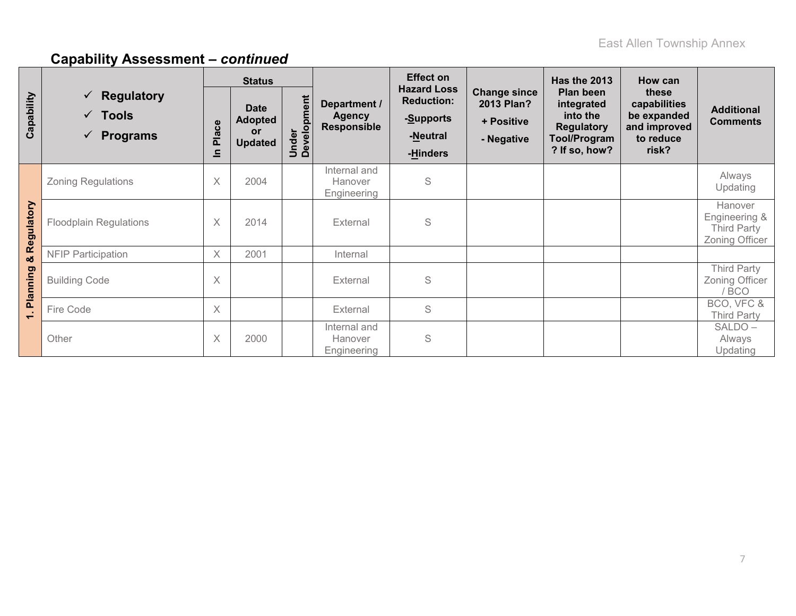|            | <b>Effect on</b><br><b>Status</b>                                    |            |                                                       | Has the 2013              | How can                                             |                                                                              |                                                               |                                                                                                  |                                                                            |                                                                  |
|------------|----------------------------------------------------------------------|------------|-------------------------------------------------------|---------------------------|-----------------------------------------------------|------------------------------------------------------------------------------|---------------------------------------------------------------|--------------------------------------------------------------------------------------------------|----------------------------------------------------------------------------|------------------------------------------------------------------|
| Capability | $\checkmark$ Regulatory<br>$\sqrt{ }$ Tools<br>$\checkmark$ Programs | Place<br>르 | <b>Date</b><br><b>Adopted</b><br>or<br><b>Updated</b> | pment<br>Under<br>Develop | Department /<br><b>Agency</b><br><b>Responsible</b> | <b>Hazard Loss</b><br><b>Reduction:</b><br>-Supports<br>-Neutral<br>-Hinders | <b>Change since</b><br>2013 Plan?<br>+ Positive<br>- Negative | Plan been<br>integrated<br>into the<br><b>Regulatory</b><br><b>Tool/Program</b><br>? If so, how? | these<br>capabilities<br>be expanded<br>and improved<br>to reduce<br>risk? | <b>Additional</b><br><b>Comments</b>                             |
|            | <b>Zoning Regulations</b>                                            | $\times$   | 2004                                                  |                           | Internal and<br>Hanover<br>Engineering              | S                                                                            |                                                               |                                                                                                  |                                                                            | Always<br>Updating                                               |
| Regulatory | <b>Floodplain Regulations</b>                                        | $\times$   | 2014                                                  |                           | External                                            | S                                                                            |                                                               |                                                                                                  |                                                                            | Hanover<br>Engineering &<br><b>Third Party</b><br>Zoning Officer |
| ಯ          | <b>NFIP Participation</b>                                            | $\times$   | 2001                                                  |                           | Internal                                            |                                                                              |                                                               |                                                                                                  |                                                                            |                                                                  |
| Planning   | <b>Building Code</b>                                                 | $\times$   |                                                       |                           | External                                            | S                                                                            |                                                               |                                                                                                  |                                                                            | <b>Third Party</b><br>Zoning Officer<br>/ BCO                    |
| $\div$     | Fire Code                                                            | $\times$   |                                                       |                           | External                                            | S                                                                            |                                                               |                                                                                                  |                                                                            | BCO, VFC &<br><b>Third Party</b>                                 |
|            | Other                                                                | $\times$   | 2000                                                  |                           | Internal and<br>Hanover<br>Engineering              | S                                                                            |                                                               |                                                                                                  |                                                                            | SALDO-<br>Always<br>Updating                                     |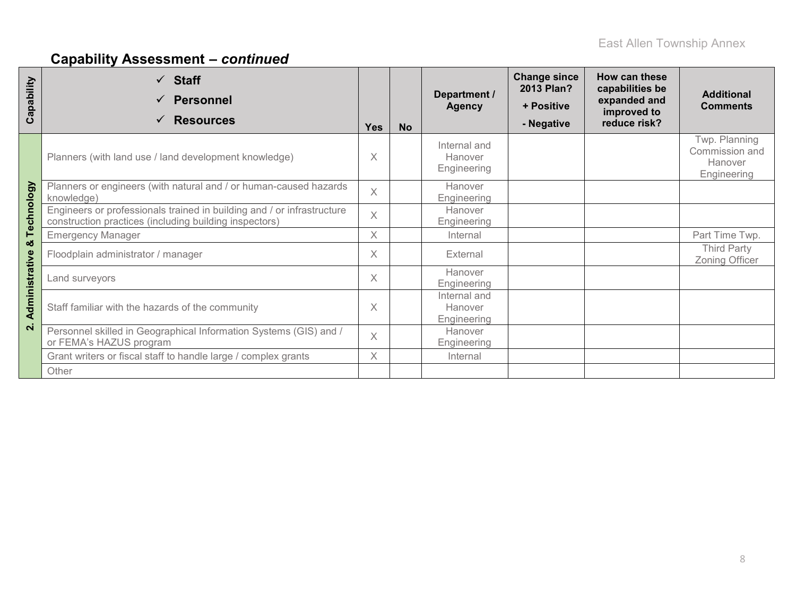| Capability        | $\checkmark$ Staff<br><b>Personnel</b><br><b>Resources</b><br>✓                                                                  | <b>Yes</b> | <b>No</b> | Department /<br><b>Agency</b>          | <b>Change since</b><br>2013 Plan?<br>+ Positive<br>- Negative | How can these<br>capabilities be<br>expanded and<br>improved to<br>reduce risk? | <b>Additional</b><br><b>Comments</b>                      |
|-------------------|----------------------------------------------------------------------------------------------------------------------------------|------------|-----------|----------------------------------------|---------------------------------------------------------------|---------------------------------------------------------------------------------|-----------------------------------------------------------|
|                   | Planners (with land use / land development knowledge)                                                                            | X          |           | Internal and<br>Hanover<br>Engineering |                                                               |                                                                                 | Twp. Planning<br>Commission and<br>Hanover<br>Engineering |
|                   | Planners or engineers (with natural and / or human-caused hazards<br>knowledge)                                                  | $\times$   |           | Hanover<br>Engineering                 |                                                               |                                                                                 |                                                           |
| Technology        | Engineers or professionals trained in building and / or infrastructure<br>construction practices (including building inspectors) | $\times$   |           | Hanover<br>Engineering                 |                                                               |                                                                                 |                                                           |
|                   | <b>Emergency Manager</b>                                                                                                         | $\times$   |           | Internal                               |                                                               |                                                                                 | Part Time Twp.                                            |
| ×                 | Floodplain administrator / manager                                                                                               | X          |           | External                               |                                                               |                                                                                 | <b>Third Party</b><br><b>Zoning Officer</b>               |
|                   | Land surveyors                                                                                                                   | X          |           | Hanover<br>Engineering                 |                                                               |                                                                                 |                                                           |
| Administrative    | Staff familiar with the hazards of the community                                                                                 | X          |           | Internal and<br>Hanover<br>Engineering |                                                               |                                                                                 |                                                           |
| $\mathbf{\Omega}$ | Personnel skilled in Geographical Information Systems (GIS) and /<br>or FEMA's HAZUS program                                     |            |           | Hanover<br>Engineering                 |                                                               |                                                                                 |                                                           |
|                   | Grant writers or fiscal staff to handle large / complex grants                                                                   | X          |           | Internal                               |                                                               |                                                                                 |                                                           |
|                   | Other                                                                                                                            |            |           |                                        |                                                               |                                                                                 |                                                           |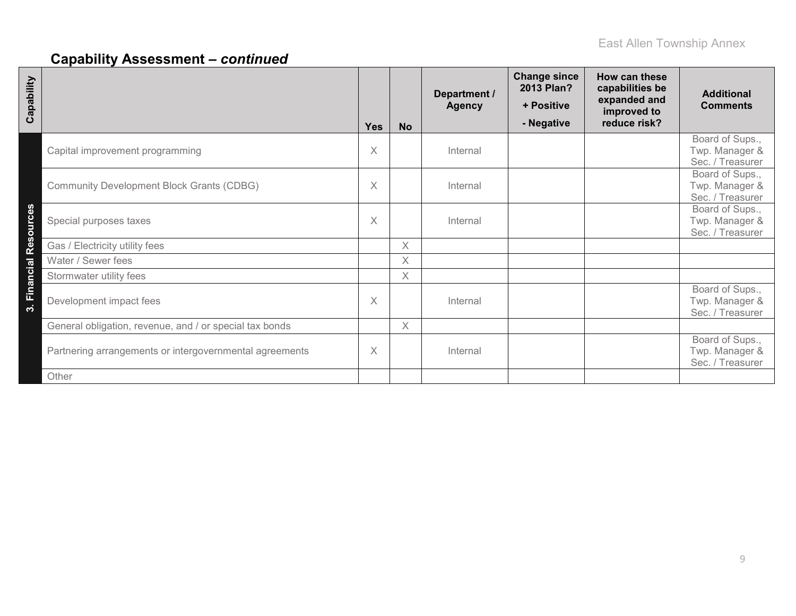| Capability                                              | <b>Yes</b> | <b>No</b> | Department /<br><b>Agency</b> | <b>Change since</b><br>2013 Plan?<br>+ Positive<br>- Negative | How can these<br>capabilities be<br>expanded and<br>improved to<br>reduce risk? | <b>Additional</b><br><b>Comments</b>                  |
|---------------------------------------------------------|------------|-----------|-------------------------------|---------------------------------------------------------------|---------------------------------------------------------------------------------|-------------------------------------------------------|
| Capital improvement programming                         | X          |           | Internal                      |                                                               |                                                                                 | Board of Sups.,<br>Twp. Manager &<br>Sec. / Treasurer |
| <b>Community Development Block Grants (CDBG)</b>        | X          |           | Internal                      |                                                               |                                                                                 | Board of Sups.,<br>Twp. Manager &<br>Sec. / Treasurer |
| 3. Financial Resources<br>Special purposes taxes        | X          |           | Internal                      |                                                               |                                                                                 | Board of Sups.,<br>Twp. Manager &<br>Sec. / Treasurer |
| Gas / Electricity utility fees                          |            | X         |                               |                                                               |                                                                                 |                                                       |
| Water / Sewer fees                                      |            | X         |                               |                                                               |                                                                                 |                                                       |
| Stormwater utility fees                                 |            | X         |                               |                                                               |                                                                                 |                                                       |
| Development impact fees                                 | $\times$   |           | Internal                      |                                                               |                                                                                 | Board of Sups.,<br>Twp. Manager &<br>Sec. / Treasurer |
| General obligation, revenue, and / or special tax bonds |            | X         |                               |                                                               |                                                                                 |                                                       |
| Partnering arrangements or intergovernmental agreements | X          |           | Internal                      |                                                               |                                                                                 | Board of Sups.,<br>Twp. Manager &<br>Sec. / Treasurer |
| Other                                                   |            |           |                               |                                                               |                                                                                 |                                                       |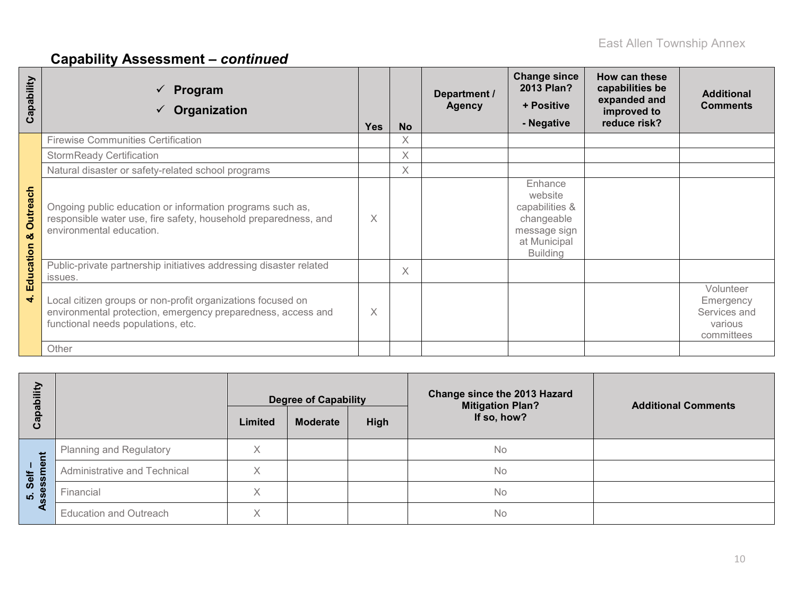| Capability           | Program<br>✓<br>Organization<br>$\checkmark$                                                                                                                      | <b>Yes</b> | <b>No</b> | Department /<br><b>Agency</b> | <b>Change since</b><br>2013 Plan?<br>+ Positive<br>- Negative                                         | How can these<br>capabilities be<br>expanded and<br>improved to<br>reduce risk? | <b>Additional</b><br><b>Comments</b>                            |
|----------------------|-------------------------------------------------------------------------------------------------------------------------------------------------------------------|------------|-----------|-------------------------------|-------------------------------------------------------------------------------------------------------|---------------------------------------------------------------------------------|-----------------------------------------------------------------|
|                      | <b>Firewise Communities Certification</b>                                                                                                                         |            | X         |                               |                                                                                                       |                                                                                 |                                                                 |
|                      | <b>StormReady Certification</b>                                                                                                                                   |            | X         |                               |                                                                                                       |                                                                                 |                                                                 |
|                      | Natural disaster or safety-related school programs                                                                                                                |            | Χ         |                               |                                                                                                       |                                                                                 |                                                                 |
| <b>Outreach</b><br>ఱ | Ongoing public education or information programs such as,<br>responsible water use, fire safety, household preparedness, and<br>environmental education.          | $\times$   |           |                               | Enhance<br>website<br>capabilities &<br>changeable<br>message sign<br>at Municipal<br><b>Building</b> |                                                                                 |                                                                 |
| Education            | Public-private partnership initiatives addressing disaster related<br>issues.                                                                                     |            | $\times$  |                               |                                                                                                       |                                                                                 |                                                                 |
| $\vec{r}$            | Local citizen groups or non-profit organizations focused on<br>environmental protection, emergency preparedness, access and<br>functional needs populations, etc. | $\times$   |           |                               |                                                                                                       |                                                                                 | Volunteer<br>Emergency<br>Services and<br>various<br>committees |
|                      | Other                                                                                                                                                             |            |           |                               |                                                                                                       |                                                                                 |                                                                 |

| ΕŅ<br>$\overline{\mathbf{c}}$<br>Capat |                                | Limited | <b>Degree of Capability</b><br><b>Moderate</b> | <b>High</b> | Change since the 2013 Hazard<br><b>Mitigation Plan?</b><br>If so, how? | <b>Additional Comments</b> |
|----------------------------------------|--------------------------------|---------|------------------------------------------------|-------------|------------------------------------------------------------------------|----------------------------|
| Ĕ                                      | <b>Planning and Regulatory</b> | Χ       |                                                |             | No                                                                     |                            |
| $\mathbf{Q}$<br><b>Self</b>            | Administrative and Technical   | X       |                                                |             | No                                                                     |                            |
| ess<br>$\dot{\mathbf{v}}$              | Financial                      | X       |                                                |             | No                                                                     |                            |
|                                        | <b>Education and Outreach</b>  | Χ       |                                                |             | <b>No</b>                                                              |                            |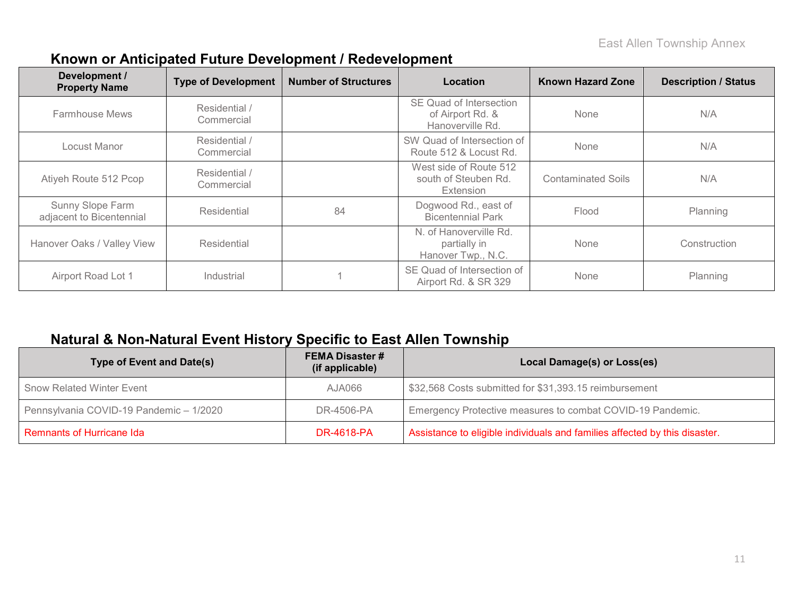| Development /<br><b>Property Name</b>        | <b>Type of Development</b>  | <b>Number of Structures</b> | Location                                                        | <b>Known Hazard Zone</b> | <b>Description / Status</b> |
|----------------------------------------------|-----------------------------|-----------------------------|-----------------------------------------------------------------|--------------------------|-----------------------------|
| <b>Farmhouse Mews</b>                        | Residential /<br>Commercial |                             | SE Quad of Intersection<br>of Airport Rd. &<br>Hanoverville Rd. | None                     | N/A                         |
| Locust Manor                                 | Residential /<br>Commercial |                             | SW Quad of Intersection of<br>Route 512 & Locust Rd.            | None                     | N/A                         |
| Atiyeh Route 512 Pcop                        | Residential /<br>Commercial |                             | West side of Route 512<br>south of Steuben Rd.<br>Extension     | Contaminated Soils       | N/A                         |
| Sunny Slope Farm<br>adjacent to Bicentennial | Residential                 | 84                          | Dogwood Rd., east of<br><b>Bicentennial Park</b>                | Flood                    | Planning                    |
| Hanover Oaks / Valley View                   | Residential                 |                             | N. of Hanoverville Rd.<br>partially in<br>Hanover Twp., N.C.    | None                     | Construction                |
| Airport Road Lot 1                           | Industrial                  |                             | SE Quad of Intersection of<br>Airport Rd. & SR 329              | None                     | Planning                    |

### **Known or Anticipated Future Development / Redevelopment**

## **Natural & Non-Natural Event History Specific to East Allen Township**

| <b>Type of Event and Date(s)</b>        | <b>FEMA Disaster #</b><br>(if applicable) | Local Damage(s) or Loss(es)                                                |
|-----------------------------------------|-------------------------------------------|----------------------------------------------------------------------------|
| <b>Snow Related Winter Event</b>        | 80AUA                                     | \$32,568 Costs submitted for \$31,393.15 reimbursement                     |
| Pennsylvania COVID-19 Pandemic - 1/2020 | DR-4506-PA                                | Emergency Protective measures to combat COVID-19 Pandemic.                 |
| Remnants of Hurricane Ida               | <b>DR-4618-PA</b>                         | Assistance to eligible individuals and families affected by this disaster. |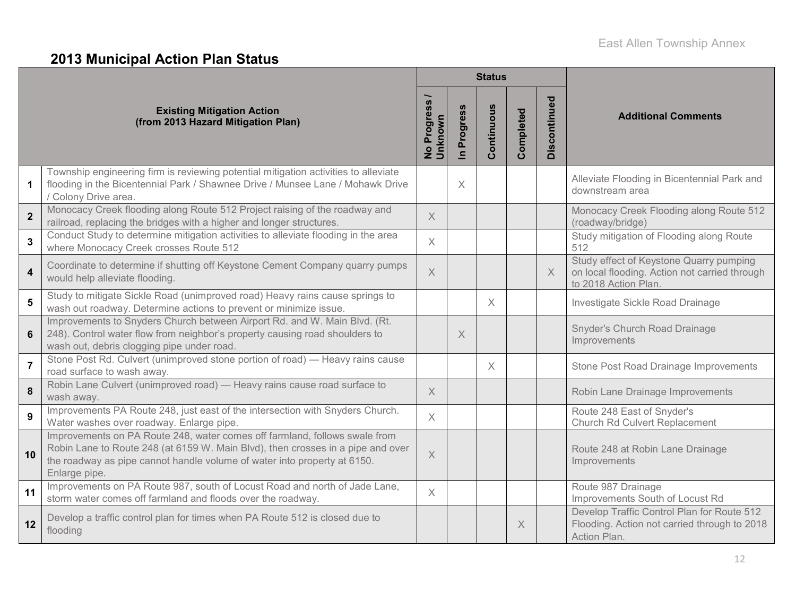# **2013 Municipal Action Plan Status**

|                         |                                                                                                                                                                                                                                                            |                            |                            | <b>Status</b> |           |              |                                                                                                                  |
|-------------------------|------------------------------------------------------------------------------------------------------------------------------------------------------------------------------------------------------------------------------------------------------------|----------------------------|----------------------------|---------------|-----------|--------------|------------------------------------------------------------------------------------------------------------------|
|                         | <b>Existing Mitigation Action</b><br>(from 2013 Hazard Mitigation Plan)                                                                                                                                                                                    | No Progress<br>nknown<br>∍ | Progress<br>$\overline{=}$ | Continuous    | Completed | Discontinued | <b>Additional Comments</b>                                                                                       |
| $\mathbf 1$             | Township engineering firm is reviewing potential mitigation activities to alleviate<br>flooding in the Bicentennial Park / Shawnee Drive / Munsee Lane / Mohawk Drive<br>/ Colony Drive area.                                                              |                            | X                          |               |           |              | Alleviate Flooding in Bicentennial Park and<br>downstream area                                                   |
| $\overline{\mathbf{2}}$ | Monocacy Creek flooding along Route 512 Project raising of the roadway and<br>railroad, replacing the bridges with a higher and longer structures.                                                                                                         | $\times$                   |                            |               |           |              | Monocacy Creek Flooding along Route 512<br>(roadway/bridge)                                                      |
| $\mathbf{3}$            | Conduct Study to determine mitigation activities to alleviate flooding in the area<br>where Monocacy Creek crosses Route 512                                                                                                                               | $\times$                   |                            |               |           |              | Study mitigation of Flooding along Route<br>512                                                                  |
| $\overline{\mathbf{4}}$ | Coordinate to determine if shutting off Keystone Cement Company quarry pumps<br>would help alleviate flooding.                                                                                                                                             | $\overline{X}$             |                            |               |           | $\times$     | Study effect of Keystone Quarry pumping<br>on local flooding. Action not carried through<br>to 2018 Action Plan. |
| 5                       | Study to mitigate Sickle Road (unimproved road) Heavy rains cause springs to<br>wash out roadway. Determine actions to prevent or minimize issue.                                                                                                          |                            |                            | $\times$      |           |              | Investigate Sickle Road Drainage                                                                                 |
| 6                       | Improvements to Snyders Church between Airport Rd. and W. Main Blvd. (Rt.<br>248). Control water flow from neighbor's property causing road shoulders to<br>wash out, debris clogging pipe under road.                                                     |                            | $\times$                   |               |           |              | Snyder's Church Road Drainage<br>Improvements                                                                    |
| $\overline{7}$          | Stone Post Rd. Culvert (unimproved stone portion of road) — Heavy rains cause<br>road surface to wash away.                                                                                                                                                |                            |                            | $\times$      |           |              | Stone Post Road Drainage Improvements                                                                            |
| 8                       | Robin Lane Culvert (unimproved road) - Heavy rains cause road surface to<br>wash away.                                                                                                                                                                     | $\times$                   |                            |               |           |              | Robin Lane Drainage Improvements                                                                                 |
| 9                       | Improvements PA Route 248, just east of the intersection with Snyders Church.<br>Water washes over roadway. Enlarge pipe.                                                                                                                                  | $\times$                   |                            |               |           |              | Route 248 East of Snyder's<br>Church Rd Culvert Replacement                                                      |
| 10                      | Improvements on PA Route 248, water comes off farmland, follows swale from<br>Robin Lane to Route 248 (at 6159 W. Main Blvd), then crosses in a pipe and over<br>the roadway as pipe cannot handle volume of water into property at 6150.<br>Enlarge pipe. | $\times$                   |                            |               |           |              | Route 248 at Robin Lane Drainage<br>Improvements                                                                 |
| 11                      | Improvements on PA Route 987, south of Locust Road and north of Jade Lane,<br>storm water comes off farmland and floods over the roadway.                                                                                                                  | $\times$                   |                            |               |           |              | Route 987 Drainage<br>Improvements South of Locust Rd                                                            |
| 12                      | Develop a traffic control plan for times when PA Route 512 is closed due to<br>flooding                                                                                                                                                                    |                            |                            |               | X         |              | Develop Traffic Control Plan for Route 512<br>Flooding. Action not carried through to 2018<br>Action Plan.       |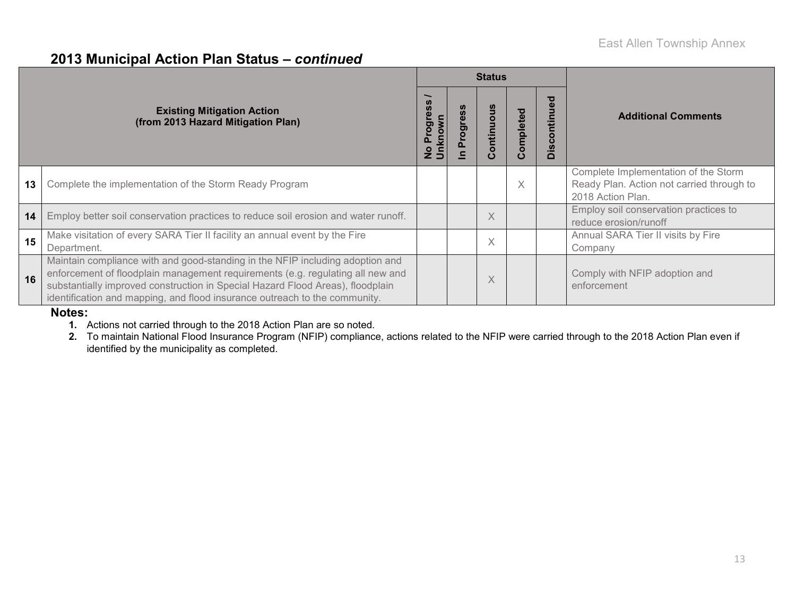#### **2013 Municipal Action Plan Status –** *continued*

|    |                                                                                                                                                                                                                                                                                                                                 |                                                                     |   | <b>Status</b>                |          |                                            |                                                                                                        |  |
|----|---------------------------------------------------------------------------------------------------------------------------------------------------------------------------------------------------------------------------------------------------------------------------------------------------------------------------------|---------------------------------------------------------------------|---|------------------------------|----------|--------------------------------------------|--------------------------------------------------------------------------------------------------------|--|
|    | <b>Existing Mitigation Action</b><br>(from 2013 Hazard Mitigation Plan)                                                                                                                                                                                                                                                         | <b>S</b><br>ğ<br><u>rog</u><br>Õ<br>൨<br>$\frac{\circ}{\mathsf{z}}$ | ත | ntinuo<br>$\circ$<br>$\circ$ | ompleted | <b>a</b><br>tinu<br><u>isc</u><br>$\Omega$ | <b>Additional Comments</b>                                                                             |  |
| 13 | Complete the implementation of the Storm Ready Program                                                                                                                                                                                                                                                                          |                                                                     |   |                              | X        |                                            | Complete Implementation of the Storm<br>Ready Plan. Action not carried through to<br>2018 Action Plan. |  |
| 14 | Employ better soil conservation practices to reduce soil erosion and water runoff.                                                                                                                                                                                                                                              |                                                                     |   | X                            |          |                                            | Employ soil conservation practices to<br>reduce erosion/runoff                                         |  |
| 15 | Make visitation of every SARA Tier II facility an annual event by the Fire<br>Department.                                                                                                                                                                                                                                       |                                                                     |   | $\times$                     |          |                                            | Annual SARA Tier II visits by Fire<br>Company                                                          |  |
| 16 | Maintain compliance with and good-standing in the NFIP including adoption and<br>enforcement of floodplain management requirements (e.g. regulating all new and<br>substantially improved construction in Special Hazard Flood Areas), floodplain<br>identification and mapping, and flood insurance outreach to the community. |                                                                     |   | Χ                            |          |                                            | Comply with NFIP adoption and<br>enforcement                                                           |  |

#### **Notes:**

**1.** Actions not carried through to the 2018 Action Plan are so noted.

**2.** To maintain National Flood Insurance Program (NFIP) compliance, actions related to the NFIP were carried through to the 2018 Action Plan even if identified by the municipality as completed.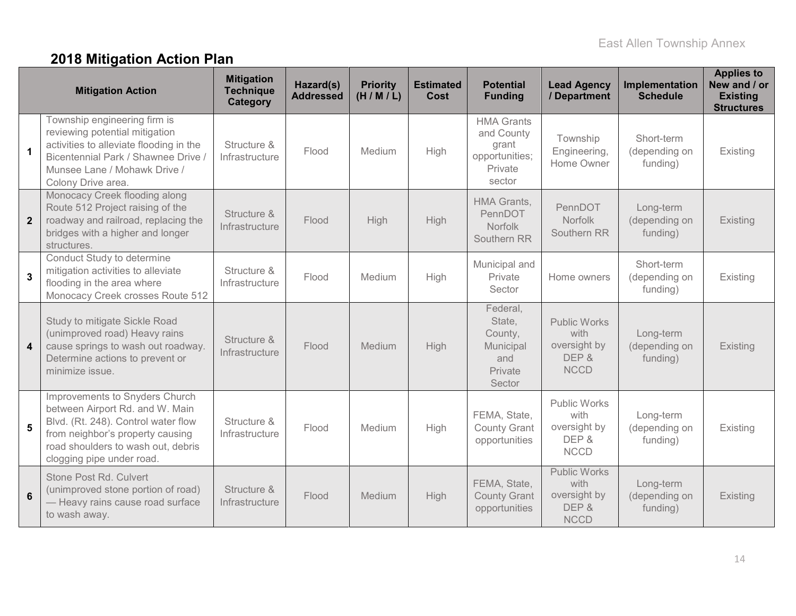# **2018 Mitigation Action Plan**

|                         | <b>Mitigation Action</b>                                                                                                                                                                                        | <b>Mitigation</b><br><b>Technique</b><br><b>Category</b> | Hazard(s)<br><b>Addressed</b> | <b>Priority</b><br>(H/M/L) | <b>Estimated</b><br>Cost | <b>Potential</b><br><b>Funding</b>                                              | <b>Lead Agency</b><br>/ Department                                  | Implementation<br><b>Schedule</b>       | <b>Applies to</b><br>New and / or<br><b>Existing</b><br><b>Structures</b> |
|-------------------------|-----------------------------------------------------------------------------------------------------------------------------------------------------------------------------------------------------------------|----------------------------------------------------------|-------------------------------|----------------------------|--------------------------|---------------------------------------------------------------------------------|---------------------------------------------------------------------|-----------------------------------------|---------------------------------------------------------------------------|
| $\mathbf{1}$            | Township engineering firm is<br>reviewing potential mitigation<br>activities to alleviate flooding in the<br>Bicentennial Park / Shawnee Drive /<br>Munsee Lane / Mohawk Drive /<br>Colony Drive area.          | Structure &<br>Infrastructure                            | Flood                         | Medium                     | High                     | <b>HMA Grants</b><br>and County<br>grant<br>opportunities;<br>Private<br>sector | Township<br>Engineering,<br>Home Owner                              | Short-term<br>(depending on<br>funding) | Existing                                                                  |
| $\mathbf 2$             | Monocacy Creek flooding along<br>Route 512 Project raising of the<br>roadway and railroad, replacing the<br>bridges with a higher and longer<br>structures.                                                     | Structure &<br>Infrastructure                            | Flood                         | High                       | High                     | HMA Grants,<br>PennDOT<br>Norfolk<br>Southern RR                                | PennDOT<br>Norfolk<br>Southern RR                                   | Long-term<br>(depending on<br>funding)  | Existing                                                                  |
| $\overline{3}$          | Conduct Study to determine<br>mitigation activities to alleviate<br>flooding in the area where<br>Monocacy Creek crosses Route 512                                                                              | Structure &<br>Infrastructure                            | Flood                         | Medium                     | High                     | Municipal and<br>Private<br>Sector                                              | Home owners                                                         | Short-term<br>(depending on<br>funding) | Existing                                                                  |
| $\overline{\mathbf{4}}$ | Study to mitigate Sickle Road<br>(unimproved road) Heavy rains<br>cause springs to wash out roadway.<br>Determine actions to prevent or<br>minimize issue.                                                      | Structure &<br>Infrastructure                            | Flood                         | Medium                     | High                     | Federal,<br>State,<br>County,<br>Municipal<br>and<br>Private<br>Sector          | <b>Public Works</b><br>with<br>oversight by<br>DEP &<br><b>NCCD</b> | Long-term<br>(depending on<br>funding)  | Existing                                                                  |
| $5\phantom{1}$          | Improvements to Snyders Church<br>between Airport Rd. and W. Main<br>Blvd. (Rt. 248). Control water flow<br>from neighbor's property causing<br>road shoulders to wash out, debris<br>clogging pipe under road. | Structure &<br>Infrastructure                            | Flood                         | Medium                     | High                     | FEMA, State,<br><b>County Grant</b><br>opportunities                            | <b>Public Works</b><br>with<br>oversight by<br>DEP &<br><b>NCCD</b> | Long-term<br>(depending on<br>funding)  | Existing                                                                  |
| $6\phantom{1}6$         | Stone Post Rd. Culvert<br>(unimproved stone portion of road)<br>- Heavy rains cause road surface<br>to wash away.                                                                                               | Structure &<br>Infrastructure                            | Flood                         | Medium                     | High                     | FEMA, State,<br><b>County Grant</b><br>opportunities                            | <b>Public Works</b><br>with<br>oversight by<br>DEP &<br><b>NCCD</b> | Long-term<br>(depending on<br>funding)  | Existing                                                                  |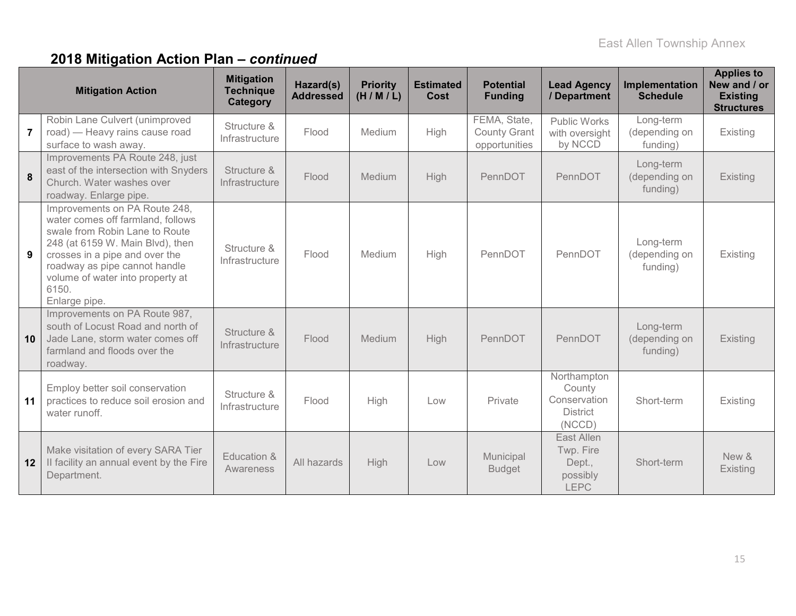# **2018 Mitigation Action Plan –** *continued*

|                | <b>Mitigation Action</b>                                                                                                                                                                                                                                                  | <b>Mitigation</b><br><b>Technique</b><br>Category | Hazard(s)<br><b>Addressed</b> | <b>Priority</b><br>(H/M/L) | <b>Estimated</b><br><b>Cost</b> | <b>Potential</b><br><b>Funding</b>                   | <b>Lead Agency</b><br>/ Department                                 | Implementation<br><b>Schedule</b>      | <b>Applies to</b><br>New and / or<br><b>Existing</b><br><b>Structures</b> |
|----------------|---------------------------------------------------------------------------------------------------------------------------------------------------------------------------------------------------------------------------------------------------------------------------|---------------------------------------------------|-------------------------------|----------------------------|---------------------------------|------------------------------------------------------|--------------------------------------------------------------------|----------------------------------------|---------------------------------------------------------------------------|
| $\overline{7}$ | Robin Lane Culvert (unimproved<br>road) — Heavy rains cause road<br>surface to wash away.                                                                                                                                                                                 | Structure &<br>Infrastructure                     | Flood                         | Medium                     | High                            | FEMA, State,<br><b>County Grant</b><br>opportunities | <b>Public Works</b><br>with oversight<br>by NCCD                   | Long-term<br>(depending on<br>funding) | Existing                                                                  |
| 8              | Improvements PA Route 248, just<br>east of the intersection with Snyders<br>Church. Water washes over<br>roadway. Enlarge pipe.                                                                                                                                           | Structure &<br>Infrastructure                     | Flood                         | Medium                     | High                            | PennDOT                                              | PennDOT                                                            | Long-term<br>(depending on<br>funding) | Existing                                                                  |
|                | Improvements on PA Route 248,<br>water comes off farmland, follows<br>swale from Robin Lane to Route<br>248 (at 6159 W. Main Blvd), then<br>crosses in a pipe and over the<br>roadway as pipe cannot handle<br>volume of water into property at<br>6150.<br>Enlarge pipe. | Structure &<br>Infrastructure                     | Flood                         | Medium                     | High                            | PennDOT                                              | PennDOT                                                            | Long-term<br>(depending on<br>funding) | Existing                                                                  |
| 10             | Improvements on PA Route 987,<br>south of Locust Road and north of<br>Jade Lane, storm water comes off<br>farmland and floods over the<br>roadway.                                                                                                                        | Structure &<br>Infrastructure                     | Flood                         | Medium                     | High                            | PennDOT                                              | PennDOT                                                            | Long-term<br>(depending on<br>funding) | Existing                                                                  |
| 11             | Employ better soil conservation<br>practices to reduce soil erosion and<br>water runoff.                                                                                                                                                                                  | Structure &<br>Infrastructure                     | Flood                         | High                       | Low                             | Private                                              | Northampton<br>County<br>Conservation<br><b>District</b><br>(NCCD) | Short-term                             | Existing                                                                  |
| 12             | Make visitation of every SARA Tier<br>Il facility an annual event by the Fire<br>Department.                                                                                                                                                                              | Education &<br>Awareness                          | All hazards                   | High                       | Low                             | Municipal<br><b>Budget</b>                           | East Allen<br>Twp. Fire<br>Dept.,<br>possibly<br><b>LEPC</b>       | Short-term                             | New &<br>Existing                                                         |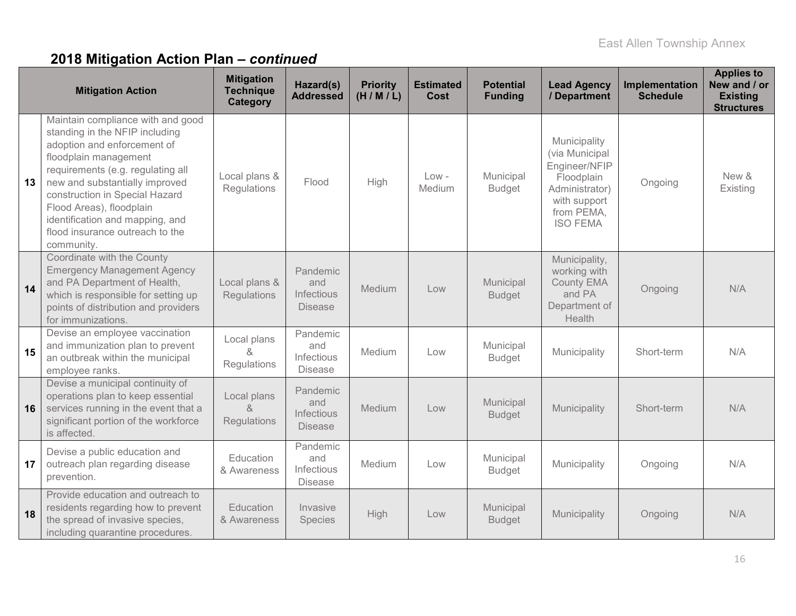# **2018 Mitigation Action Plan –** *continued*

|    | <b>Mitigation Action</b>                                                                                                                                                                                                                                                                                                                             | <b>Mitigation</b><br><b>Technique</b><br>Category | Hazard(s)<br><b>Addressed</b>                          | <b>Priority</b><br>(H/M/L) | <b>Estimated</b><br><b>Cost</b> | <b>Potential</b><br><b>Funding</b> | <b>Lead Agency</b><br>/ Department                                                                                               | Implementation<br><b>Schedule</b> | <b>Applies to</b><br>New and / or<br><b>Existing</b><br><b>Structures</b> |
|----|------------------------------------------------------------------------------------------------------------------------------------------------------------------------------------------------------------------------------------------------------------------------------------------------------------------------------------------------------|---------------------------------------------------|--------------------------------------------------------|----------------------------|---------------------------------|------------------------------------|----------------------------------------------------------------------------------------------------------------------------------|-----------------------------------|---------------------------------------------------------------------------|
| 13 | Maintain compliance with and good<br>standing in the NFIP including<br>adoption and enforcement of<br>floodplain management<br>requirements (e.g. regulating all<br>new and substantially improved<br>construction in Special Hazard<br>Flood Areas), floodplain<br>identification and mapping, and<br>flood insurance outreach to the<br>community. | Local plans &<br><b>Regulations</b>               | Flood                                                  | High                       | $Low -$<br>Medium               | Municipal<br><b>Budget</b>         | Municipality<br>(via Municipal<br>Engineer/NFIP<br>Floodplain<br>Administrator)<br>with support<br>from PEMA,<br><b>ISO FEMA</b> | Ongoing                           | New &<br>Existing                                                         |
| 14 | Coordinate with the County<br><b>Emergency Management Agency</b><br>and PA Department of Health,<br>which is responsible for setting up<br>points of distribution and providers<br>for immunizations.                                                                                                                                                | Local plans &<br>Regulations                      | Pandemic<br>and<br>Infectious<br><b>Disease</b>        | Medium                     | Low                             | Municipal<br><b>Budget</b>         | Municipality,<br>working with<br><b>County EMA</b><br>and PA<br>Department of<br>Health                                          | Ongoing                           | N/A                                                                       |
| 15 | Devise an employee vaccination<br>and immunization plan to prevent<br>an outbreak within the municipal<br>employee ranks.                                                                                                                                                                                                                            | Local plans<br>&<br>Regulations                   | Pandemic<br>and<br>Infectious<br><b>Disease</b>        | Medium                     | Low                             | Municipal<br><b>Budget</b>         | Municipality                                                                                                                     | Short-term                        | N/A                                                                       |
| 16 | Devise a municipal continuity of<br>operations plan to keep essential<br>services running in the event that a<br>significant portion of the workforce<br>is affected.                                                                                                                                                                                | Local plans<br>8<br>Regulations                   | Pandemic<br>and<br><b>Infectious</b><br><b>Disease</b> | Medium                     | Low                             | Municipal<br><b>Budget</b>         | Municipality                                                                                                                     | Short-term                        | N/A                                                                       |
| 17 | Devise a public education and<br>outreach plan regarding disease<br>prevention.                                                                                                                                                                                                                                                                      | <b>Education</b><br>& Awareness                   | Pandemic<br>and<br>Infectious<br><b>Disease</b>        | Medium                     | Low                             | Municipal<br><b>Budget</b>         | Municipality                                                                                                                     | Ongoing                           | N/A                                                                       |
| 18 | Provide education and outreach to<br>residents regarding how to prevent<br>the spread of invasive species,<br>including quarantine procedures.                                                                                                                                                                                                       | <b>Education</b><br>& Awareness                   | Invasive<br>Species                                    | High                       | Low                             | Municipal<br><b>Budget</b>         | Municipality                                                                                                                     | Ongoing                           | N/A                                                                       |